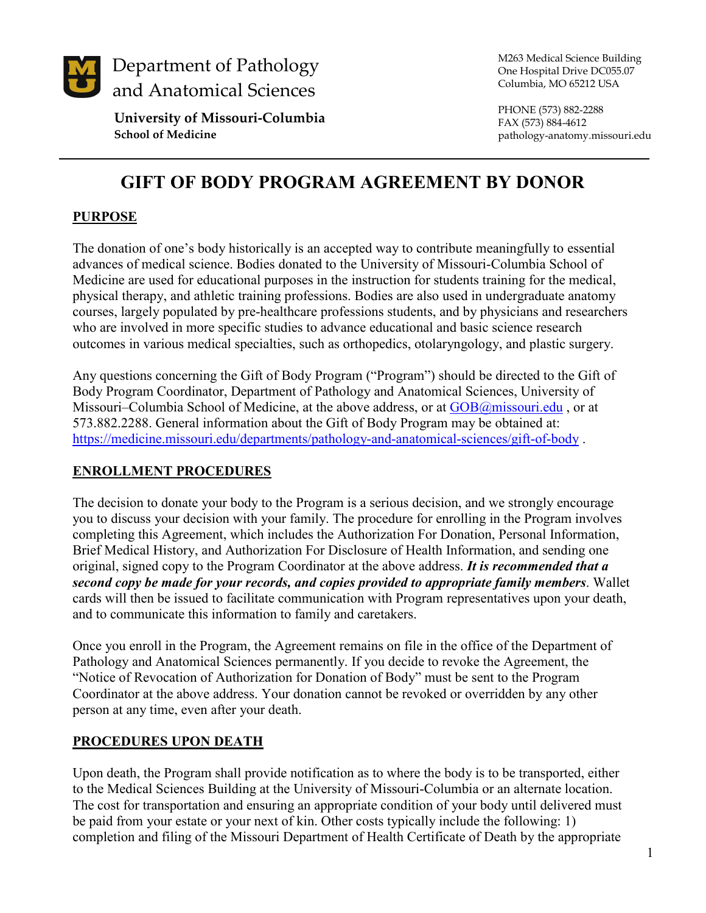

**University of Missouri-Columbia School of Medicine**

M263 Medical Science Building One Hospital Drive DC055.07 Columbia, MO 65212 USA

PHONE (573) 882-2288 FAX (573) 884-4612 pathology-anatomy.missouri.edu

# **GIFT OF BODY PROGRAM AGREEMENT BY DONOR**

### **PURPOSE**

The donation of one's body historically is an accepted way to contribute meaningfully to essential advances of medical science. Bodies donated to the University of Missouri-Columbia School of Medicine are used for educational purposes in the instruction for students training for the medical, physical therapy, and athletic training professions. Bodies are also used in undergraduate anatomy courses, largely populated by pre-healthcare professions students, and by physicians and researchers who are involved in more specific studies to advance educational and basic science research outcomes in various medical specialties, such as orthopedics, otolaryngology, and plastic surgery.

Any questions concerning the Gift of Body Program ("Program") should be directed to the Gift of Body Program Coordinator, Department of Pathology and Anatomical Sciences, University of Missouri–Columbia School of Medicine, at the above address, or at [GOB@missouri.edu](mailto:johnsolaura@health.missouri.edu), or at 573.882.2288. General information about the Gift of Body Program may be obtained at: <https://medicine.missouri.edu/departments/pathology-and-anatomical-sciences/gift-of-body> .

### **ENROLLMENT PROCEDURES**

The decision to donate your body to the Program is a serious decision, and we strongly encourage you to discuss your decision with your family. The procedure for enrolling in the Program involves completing this Agreement, which includes the Authorization For Donation, Personal Information, Brief Medical History, and Authorization For Disclosure of Health Information, and sending one original, signed copy to the Program Coordinator at the above address. *It is recommended that a second copy be made for your records, and copies provided to appropriate family members*. Wallet cards will then be issued to facilitate communication with Program representatives upon your death, and to communicate this information to family and caretakers.

Once you enroll in the Program, the Agreement remains on file in the office of the Department of Pathology and Anatomical Sciences permanently. If you decide to revoke the Agreement, the "Notice of Revocation of Authorization for Donation of Body" must be sent to the Program Coordinator at the above address. Your donation cannot be revoked or overridden by any other person at any time, even after your death.

#### **PROCEDURES UPON DEATH**

Upon death, the Program shall provide notification as to where the body is to be transported, either to the Medical Sciences Building at the University of Missouri-Columbia or an alternate location. The cost for transportation and ensuring an appropriate condition of your body until delivered must be paid from your estate or your next of kin. Other costs typically include the following: 1) completion and filing of the Missouri Department of Health Certificate of Death by the appropriate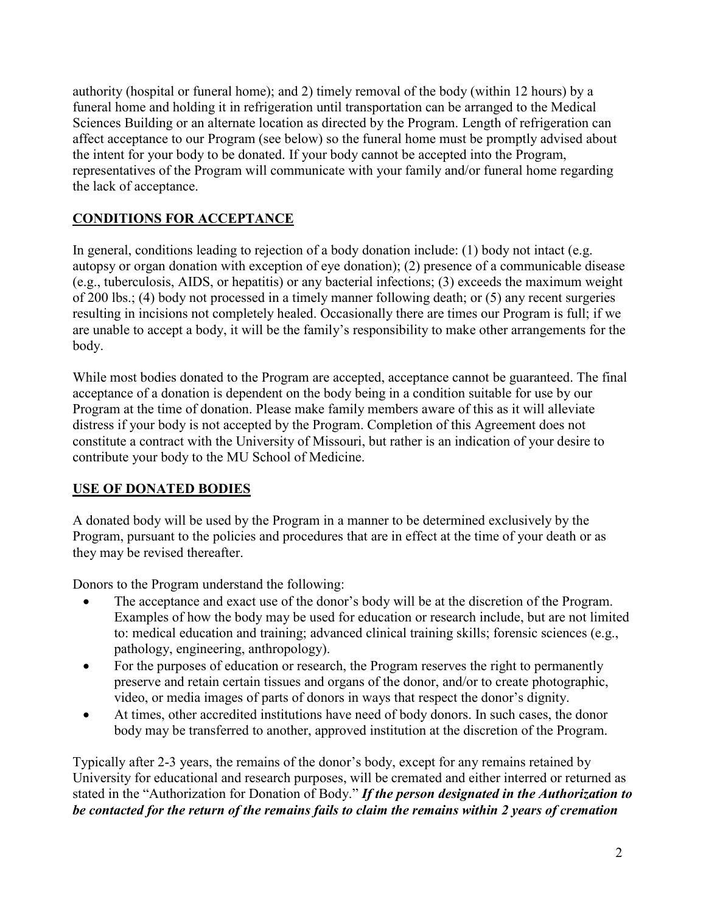authority (hospital or funeral home); and 2) timely removal of the body (within 12 hours) by a funeral home and holding it in refrigeration until transportation can be arranged to the Medical Sciences Building or an alternate location as directed by the Program. Length of refrigeration can affect acceptance to our Program (see below) so the funeral home must be promptly advised about the intent for your body to be donated. If your body cannot be accepted into the Program, representatives of the Program will communicate with your family and/or funeral home regarding the lack of acceptance.

### **CONDITIONS FOR ACCEPTANCE**

In general, conditions leading to rejection of a body donation include: (1) body not intact (e.g. autopsy or organ donation with exception of eye donation); (2) presence of a communicable disease (e.g., tuberculosis, AIDS, or hepatitis) or any bacterial infections; (3) exceeds the maximum weight of 200 lbs.; (4) body not processed in a timely manner following death; or (5) any recent surgeries resulting in incisions not completely healed. Occasionally there are times our Program is full; if we are unable to accept a body, it will be the family's responsibility to make other arrangements for the body.

While most bodies donated to the Program are accepted, acceptance cannot be guaranteed. The final acceptance of a donation is dependent on the body being in a condition suitable for use by our Program at the time of donation. Please make family members aware of this as it will alleviate distress if your body is not accepted by the Program. Completion of this Agreement does not constitute a contract with the University of Missouri, but rather is an indication of your desire to contribute your body to the MU School of Medicine.

### **USE OF DONATED BODIES**

A donated body will be used by the Program in a manner to be determined exclusively by the Program, pursuant to the policies and procedures that are in effect at the time of your death or as they may be revised thereafter.

Donors to the Program understand the following:

- The acceptance and exact use of the donor's body will be at the discretion of the Program. Examples of how the body may be used for education or research include, but are not limited to: medical education and training; advanced clinical training skills; forensic sciences (e.g., pathology, engineering, anthropology).
- For the purposes of education or research, the Program reserves the right to permanently preserve and retain certain tissues and organs of the donor, and/or to create photographic, video, or media images of parts of donors in ways that respect the donor's dignity.
- At times, other accredited institutions have need of body donors. In such cases, the donor body may be transferred to another, approved institution at the discretion of the Program.

Typically after 2-3 years, the remains of the donor's body, except for any remains retained by University for educational and research purposes, will be cremated and either interred or returned as stated in the "Authorization for Donation of Body." *If the person designated in the Authorization to be contacted for the return of the remains fails to claim the remains within 2 years of cremation*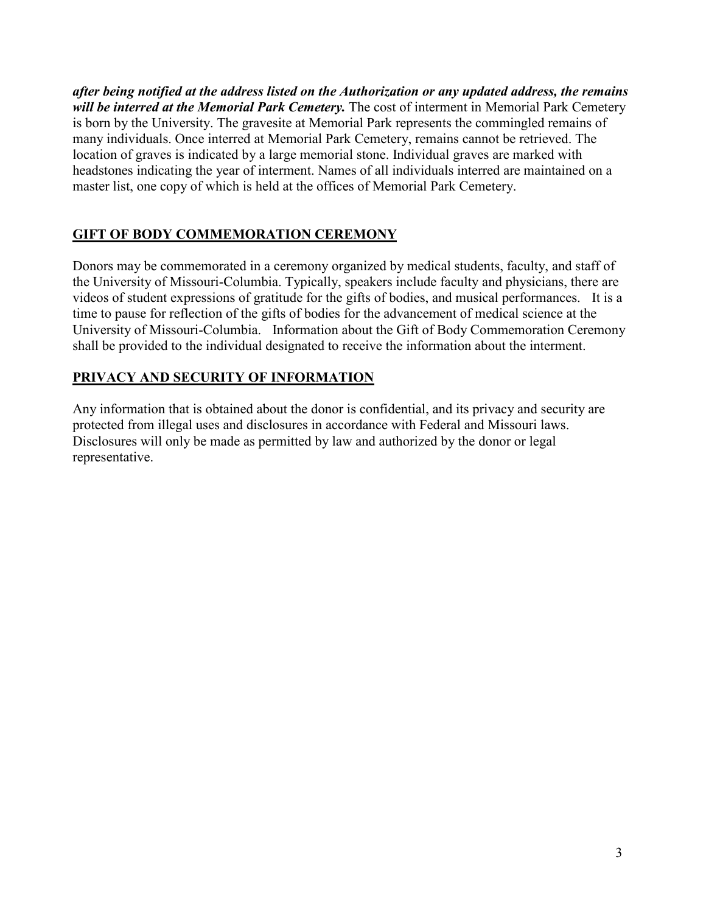*after being notified at the address listed on the Authorization or any updated address, the remains will be interred at the Memorial Park Cemetery.* The cost of interment in Memorial Park Cemetery is born by the University. The gravesite at Memorial Park represents the commingled remains of many individuals. Once interred at Memorial Park Cemetery, remains cannot be retrieved. The location of graves is indicated by a large memorial stone. Individual graves are marked with headstones indicating the year of interment. Names of all individuals interred are maintained on a master list, one copy of which is held at the offices of Memorial Park Cemetery.

### **GIFT OF BODY COMMEMORATION CEREMONY**

Donors may be commemorated in a ceremony organized by medical students, faculty, and staff of the University of Missouri-Columbia. Typically, speakers include faculty and physicians, there are videos of student expressions of gratitude for the gifts of bodies, and musical performances. It is a time to pause for reflection of the gifts of bodies for the advancement of medical science at the University of Missouri-Columbia. Information about the Gift of Body Commemoration Ceremony shall be provided to the individual designated to receive the information about the interment.

### **PRIVACY AND SECURITY OF INFORMATION**

Any information that is obtained about the donor is confidential, and its privacy and security are protected from illegal uses and disclosures in accordance with Federal and Missouri laws. Disclosures will only be made as permitted by law and authorized by the donor or legal representative.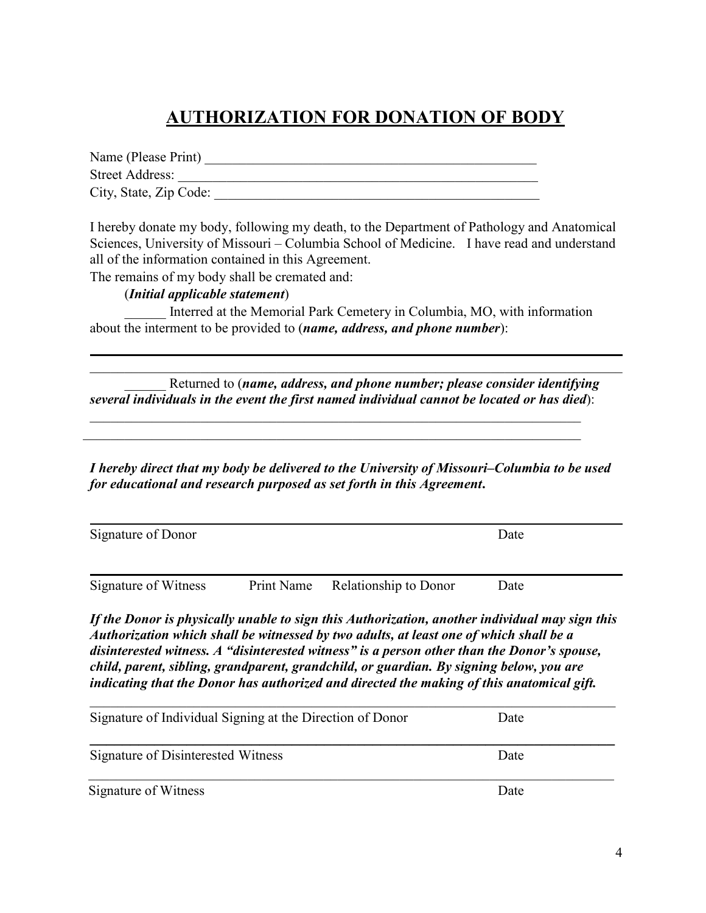## **AUTHORIZATION FOR DONATION OF BODY**

Name (Please Print) \_\_\_\_\_\_\_\_\_\_\_\_\_\_\_\_\_\_\_\_\_\_\_\_\_\_\_\_\_\_\_\_\_\_\_\_\_\_\_\_\_\_\_\_\_\_\_\_ Street Address: \_\_\_\_\_\_\_\_\_\_\_\_\_\_\_\_\_\_\_\_\_\_\_\_\_\_\_\_\_\_\_\_\_\_\_\_\_\_\_\_\_\_\_\_\_\_\_\_\_\_\_\_ City, State, Zip Code: \_\_\_\_\_\_\_\_\_\_\_\_\_\_\_\_\_\_\_\_\_\_\_\_\_\_\_\_\_\_\_\_\_\_\_\_\_\_\_\_\_\_\_\_\_\_\_

I hereby donate my body, following my death, to the Department of Pathology and Anatomical Sciences, University of Missouri – Columbia School of Medicine. I have read and understand all of the information contained in this Agreement.

The remains of my body shall be cremated and:

#### (*Initial applicable statement*)

\_\_\_\_\_\_ Interred at the Memorial Park Cemetery in Columbia, MO, with information about the interment to be provided to (*name, address, and phone number*):

\_\_\_\_\_\_ Returned to (*name, address, and phone number; please consider identifying several individuals in the event the first named individual cannot be located or has died*):

 $\mathcal{L}_\text{G}$  , and the contribution of the contribution of the contribution of the contribution of the contribution of the contribution of the contribution of the contribution of the contribution of the contribution of t

 $\mathcal{L}_\mathcal{L} = \mathcal{L}_\mathcal{L} = \mathcal{L}_\mathcal{L} = \mathcal{L}_\mathcal{L} = \mathcal{L}_\mathcal{L} = \mathcal{L}_\mathcal{L} = \mathcal{L}_\mathcal{L} = \mathcal{L}_\mathcal{L} = \mathcal{L}_\mathcal{L} = \mathcal{L}_\mathcal{L} = \mathcal{L}_\mathcal{L} = \mathcal{L}_\mathcal{L} = \mathcal{L}_\mathcal{L} = \mathcal{L}_\mathcal{L} = \mathcal{L}_\mathcal{L} = \mathcal{L}_\mathcal{L} = \mathcal{L}_\mathcal{L}$ 

*I hereby direct that my body be delivered to the University of Missouri–Columbia to be used for educational and research purposed as set forth in this Agreement***.**

| Signature of Donor   |                                  | Date |
|----------------------|----------------------------------|------|
| Signature of Witness | Print Name Relationship to Donor | Date |

*If the Donor is physically unable to sign this Authorization, another individual may sign this Authorization which shall be witnessed by two adults, at least one of which shall be a disinterested witness. A "disinterested witness" is a person other than the Donor's spouse, child, parent, sibling, grandparent, grandchild, or guardian. By signing below, you are indicating that the Donor has authorized and directed the making of this anatomical gift.*

| Signature of Individual Signing at the Direction of Donor | Date |  |
|-----------------------------------------------------------|------|--|
| Signature of Disinterested Witness                        | Date |  |
| Signature of Witness                                      | Date |  |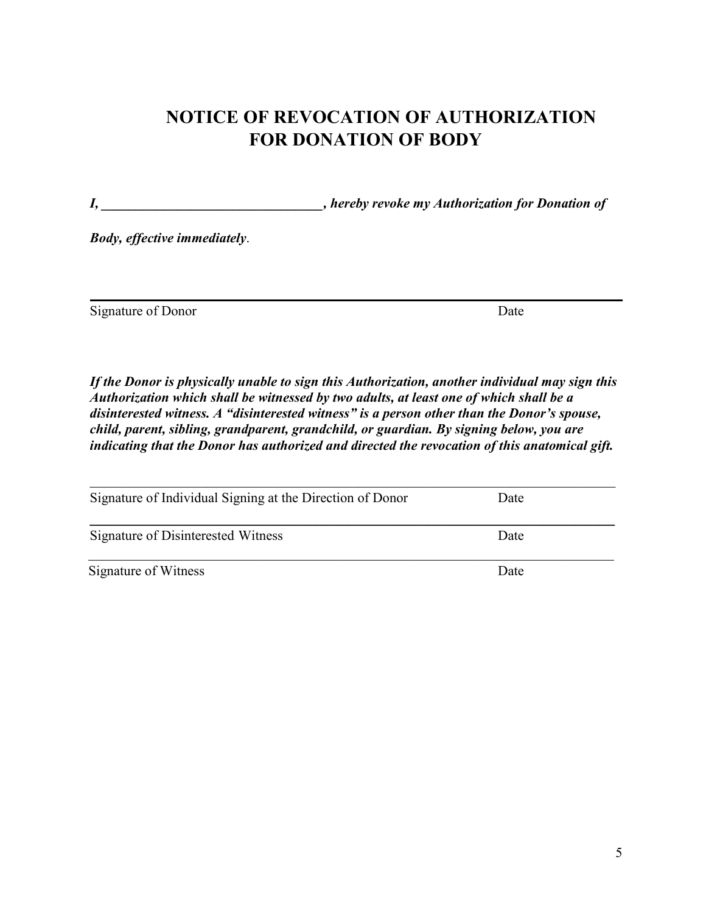# **NOTICE OF REVOCATION OF AUTHORIZATION FOR DONATION OF BODY**

*I, \_\_\_\_\_\_\_\_\_\_\_\_\_\_\_\_\_\_\_\_\_\_\_\_\_\_\_\_\_\_\_\_, hereby revoke my Authorization for Donation of*

*Body, effective immediately*.

Signature of Donor Date

*If the Donor is physically unable to sign this Authorization, another individual may sign this Authorization which shall be witnessed by two adults, at least one of which shall be a disinterested witness. A "disinterested witness" is a person other than the Donor's spouse, child, parent, sibling, grandparent, grandchild, or guardian. By signing below, you are indicating that the Donor has authorized and directed the revocation of this anatomical gift.*

| Signature of Individual Signing at the Direction of Donor | Date |
|-----------------------------------------------------------|------|
| Signature of Disinterested Witness                        | Date |
| Signature of Witness                                      | Date |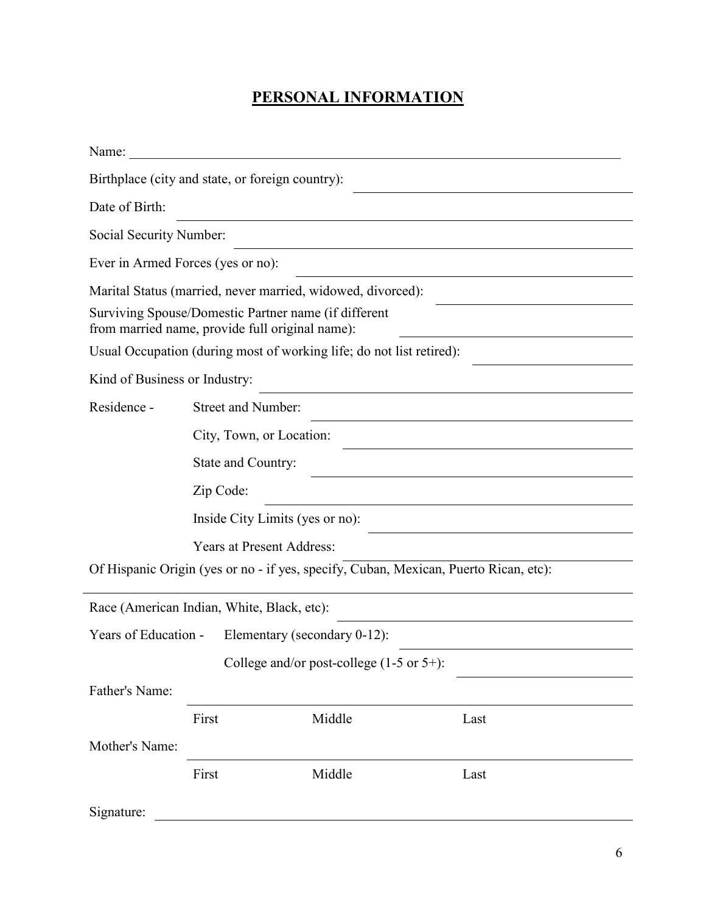### **PERSONAL INFORMATION**

| Name:                         |                                                                                                         |                                                      |                                                                                      |  |
|-------------------------------|---------------------------------------------------------------------------------------------------------|------------------------------------------------------|--------------------------------------------------------------------------------------|--|
|                               | Birthplace (city and state, or foreign country):                                                        |                                                      |                                                                                      |  |
| Date of Birth:                |                                                                                                         |                                                      |                                                                                      |  |
| Social Security Number:       |                                                                                                         |                                                      |                                                                                      |  |
|                               | Ever in Armed Forces (yes or no):                                                                       |                                                      |                                                                                      |  |
|                               | Marital Status (married, never married, widowed, divorced):                                             |                                                      |                                                                                      |  |
|                               | Surviving Spouse/Domestic Partner name (if different<br>from married name, provide full original name): |                                                      |                                                                                      |  |
|                               | Usual Occupation (during most of working life; do not list retired):                                    |                                                      |                                                                                      |  |
| Kind of Business or Industry: |                                                                                                         |                                                      |                                                                                      |  |
| Residence -                   | <b>Street and Number:</b>                                                                               |                                                      |                                                                                      |  |
|                               | City, Town, or Location:                                                                                |                                                      |                                                                                      |  |
|                               | State and Country:                                                                                      |                                                      |                                                                                      |  |
|                               | Zip Code:                                                                                               |                                                      |                                                                                      |  |
|                               | Inside City Limits (yes or no):                                                                         |                                                      |                                                                                      |  |
|                               | <b>Years at Present Address:</b>                                                                        |                                                      |                                                                                      |  |
|                               |                                                                                                         |                                                      | Of Hispanic Origin (yes or no - if yes, specify, Cuban, Mexican, Puerto Rican, etc): |  |
|                               | Race (American Indian, White, Black, etc):                                                              |                                                      |                                                                                      |  |
| Years of Education -          |                                                                                                         | Elementary (secondary 0-12):                         |                                                                                      |  |
|                               |                                                                                                         | College and/or post-college $(1-5 \text{ or } 5+)$ : |                                                                                      |  |
| Father's Name:                |                                                                                                         |                                                      |                                                                                      |  |
|                               | First                                                                                                   | Middle                                               | Last                                                                                 |  |
| Mother's Name:                |                                                                                                         |                                                      |                                                                                      |  |
|                               | First                                                                                                   | Middle                                               | Last                                                                                 |  |
| Signature:                    |                                                                                                         |                                                      |                                                                                      |  |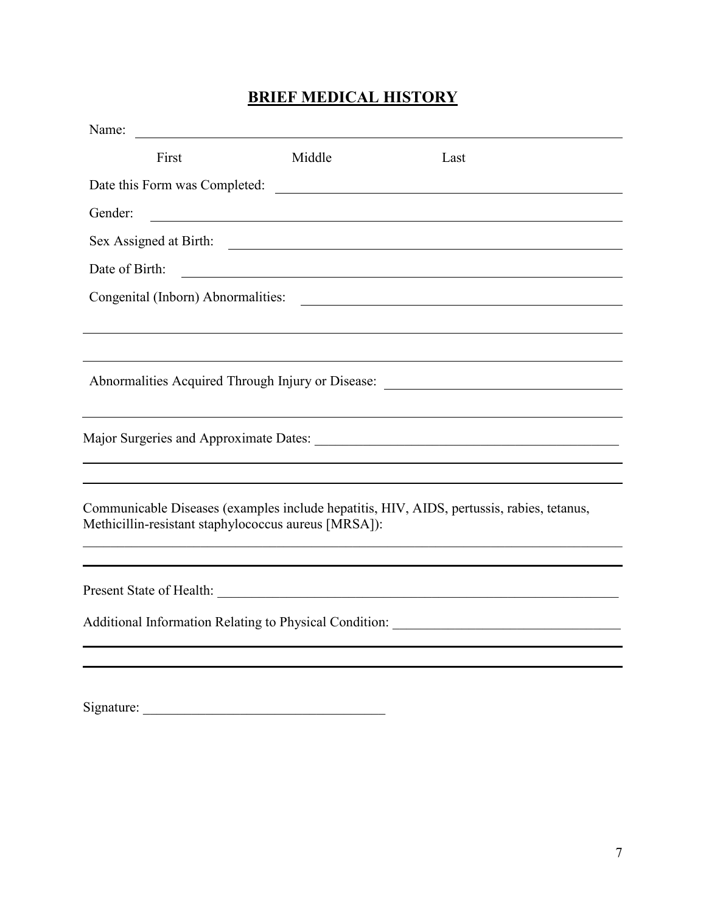## **BRIEF MEDICAL HISTORY**

| Name:<br><u> 1990 - Andrea Station Books, amerikansk politik (</u>                                                                                |        |                                                                                   |  |
|---------------------------------------------------------------------------------------------------------------------------------------------------|--------|-----------------------------------------------------------------------------------|--|
| First                                                                                                                                             | Middle | Last                                                                              |  |
| Date this Form was Completed:                                                                                                                     |        |                                                                                   |  |
| Gender:                                                                                                                                           |        |                                                                                   |  |
|                                                                                                                                                   |        | Sex Assigned at Birth:                                                            |  |
| Date of Birth:                                                                                                                                    |        | <u> 2008 - Andrea Andrew Maria (h. 1878).</u>                                     |  |
|                                                                                                                                                   |        |                                                                                   |  |
|                                                                                                                                                   |        |                                                                                   |  |
|                                                                                                                                                   |        |                                                                                   |  |
|                                                                                                                                                   |        |                                                                                   |  |
|                                                                                                                                                   |        |                                                                                   |  |
|                                                                                                                                                   |        |                                                                                   |  |
|                                                                                                                                                   |        |                                                                                   |  |
| Communicable Diseases (examples include hepatitis, HIV, AIDS, pertussis, rabies, tetanus,<br>Methicillin-resistant staphylococcus aureus [MRSA]): |        |                                                                                   |  |
| and the control of the control of the control of the control of the control of the control of the control of the                                  |        |                                                                                   |  |
|                                                                                                                                                   |        |                                                                                   |  |
| Additional Information Relating to Physical Condition: __________________________                                                                 |        |                                                                                   |  |
|                                                                                                                                                   |        |                                                                                   |  |
|                                                                                                                                                   |        |                                                                                   |  |
|                                                                                                                                                   |        | Abnormalities Acquired Through Injury or Disease: _______________________________ |  |

Signature: \_\_\_\_\_\_\_\_\_\_\_\_\_\_\_\_\_\_\_\_\_\_\_\_\_\_\_\_\_\_\_\_\_\_\_